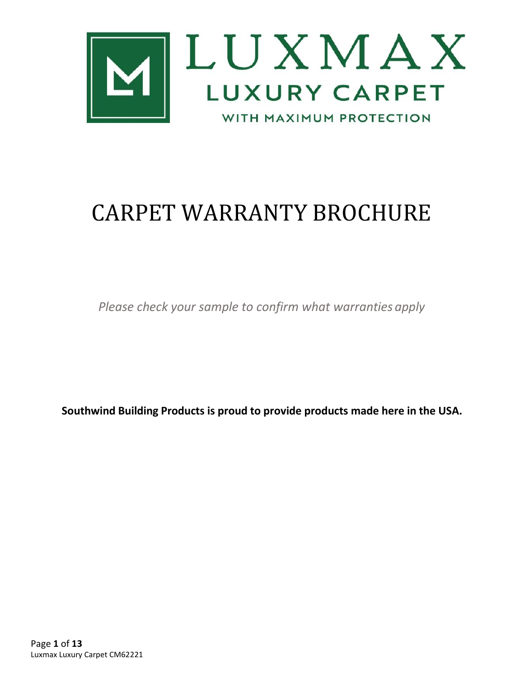

# CARPET WARRANTY BROCHURE

*Please check your sample to confirm what warranties apply*

**Southwind Building Products is proud to provide products made here in the USA.**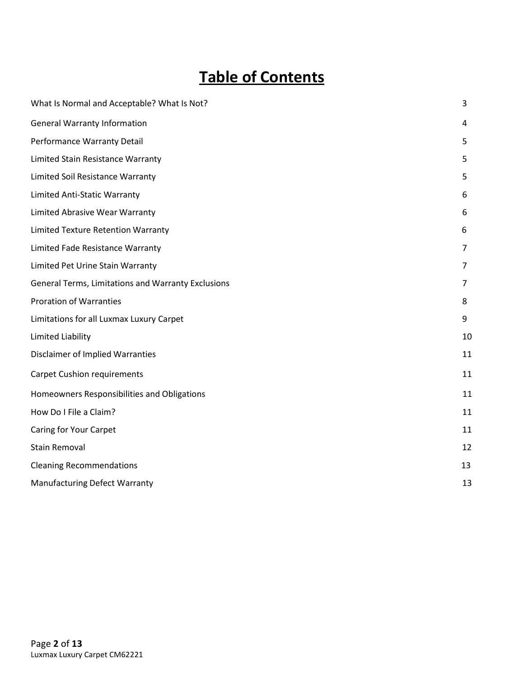## **Table of Contents**

| What Is Normal and Acceptable? What Is Not?        | 3  |
|----------------------------------------------------|----|
| <b>General Warranty Information</b>                | 4  |
| Performance Warranty Detail                        |    |
| Limited Stain Resistance Warranty                  | 5  |
| Limited Soil Resistance Warranty                   | 5  |
| Limited Anti-Static Warranty                       | 6  |
| Limited Abrasive Wear Warranty                     | 6  |
| <b>Limited Texture Retention Warranty</b>          | 6  |
| Limited Fade Resistance Warranty                   | 7  |
| Limited Pet Urine Stain Warranty                   |    |
| General Terms, Limitations and Warranty Exclusions | 7  |
| <b>Proration of Warranties</b>                     | 8  |
| Limitations for all Luxmax Luxury Carpet           |    |
| Limited Liability                                  |    |
| <b>Disclaimer of Implied Warranties</b>            |    |
| <b>Carpet Cushion requirements</b>                 |    |
| Homeowners Responsibilities and Obligations        |    |
| How Do I File a Claim?                             | 11 |
| Caring for Your Carpet                             |    |
| <b>Stain Removal</b>                               |    |
| <b>Cleaning Recommendations</b>                    |    |
| <b>Manufacturing Defect Warranty</b>               |    |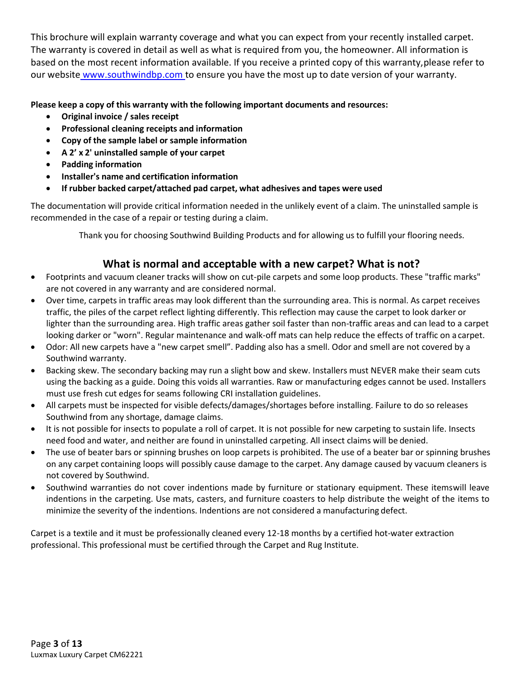This brochure will explain warranty coverage and what you can expect from your recently installed carpet. The warranty is covered in detail as well as what is required from you, the homeowner. All information is based on the most recent information available. If you receive a printed copy of this warranty,please refer to our website www.southwindbp.com to ensure you have the most up to date version of your warranty.

#### **Please keep a copy of this warranty with the following important documents and resources:**

- **Original invoice / sales receipt**
- **Professional cleaning receipts and information**
- **Copy of the sample label or sample information**
- **A 2' x 2' uninstalled sample of your carpet**
- **Padding information**
- **Installer's name and certification information**
- **If rubber backed carpet/attached pad carpet, what adhesives and tapes were used**

The documentation will provide critical information needed in the unlikely event of a claim. The uninstalled sample is recommended in the case of a repair or testing during a claim.

Thank you for choosing Southwind Building Products and for allowing us to fulfill your flooring needs.

## **What is normal and acceptable with a new carpet? What is not?**

- Footprints and vacuum cleaner tracks will show on cut-pile carpets and some loop products. These "traffic marks" are not covered in any warranty and are considered normal.
- Over time, carpets in traffic areas may look different than the surrounding area. This is normal. As carpet receives traffic, the piles of the carpet reflect lighting differently. This reflection may cause the carpet to look darker or lighter than the surrounding area. High traffic areas gather soil faster than non-traffic areas and can lead to a carpet looking darker or "worn". Regular maintenance and walk-off mats can help reduce the effects of traffic on a carpet.
- Odor: All new carpets have a "new carpet smell". Padding also has a smell. Odor and smell are not covered by a Southwind warranty.
- Backing skew. The secondary backing may run a slight bow and skew. Installers must NEVER make their seam cuts using the backing as a guide. Doing this voids all warranties. Raw or manufacturing edges cannot be used. Installers must use fresh cut edges for seams following CRI installation guidelines.
- All carpets must be inspected for visible defects/damages/shortages before installing. Failure to do so releases Southwind from any shortage, damage claims.
- It is not possible for insects to populate a roll of carpet. It is not possible for new carpeting to sustain life. Insects need food and water, and neither are found in uninstalled carpeting. All insect claims will be denied.
- The use of beater bars or spinning brushes on loop carpets is prohibited. The use of a beater bar or spinning brushes on any carpet containing loops will possibly cause damage to the carpet. Any damage caused by vacuum cleaners is not covered by Southwind.
- Southwind warranties do not cover indentions made by furniture or stationary equipment. These itemswill leave indentions in the carpeting. Use mats, casters, and furniture coasters to help distribute the weight of the items to minimize the severity of the indentions. Indentions are not considered a manufacturing defect.

Carpet is a textile and it must be professionally cleaned every 12-18 months by a certified hot-water extraction professional. This professional must be certified through the Carpet and Rug Institute.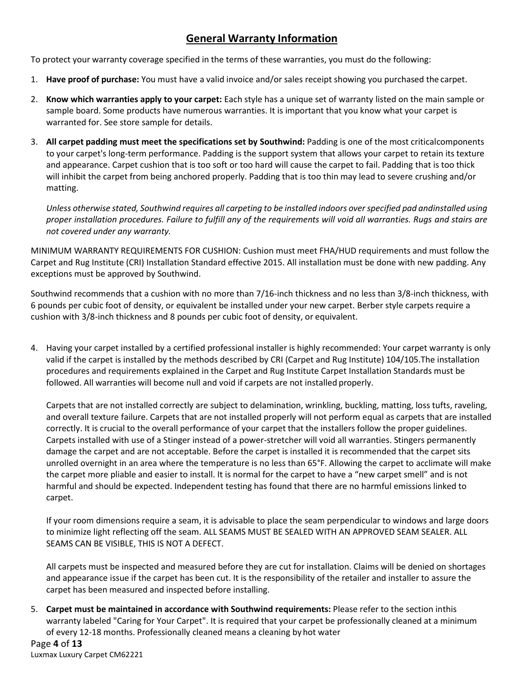## **General Warranty Information**

<span id="page-3-0"></span>To protect your warranty coverage specified in the terms of these warranties, you must do the following:

- 1. **Have proof of purchase:** You must have a valid invoice and/or sales receipt showing you purchased the carpet.
- 2. **Know which warranties apply to your carpet:** Each style has a unique set of warranty listed on the main sample or sample board. Some products have numerous warranties. It is important that you know what your carpet is warranted for. See store sample for details.
- 3. **All carpet padding must meet the specifications set by Southwind:** Padding is one of the most criticalcomponents to your carpet's long-term performance. Padding is the support system that allows your carpet to retain its texture and appearance. Carpet cushion that is too soft or too hard will cause the carpet to fail. Padding that is too thick will inhibit the carpet from being anchored properly. Padding that is too thin may lead to severe crushing and/or matting.

*Unless otherwise stated, Southwind requires all carpeting to be installed indoors over specified pad andinstalled using proper installation procedures. Failure to fulfill any of the requirements will void all warranties. Rugs and stairs are not covered under any warranty.*

MINIMUM WARRANTY REQUIREMENTS FOR CUSHION: Cushion must meet FHA/HUD requirements and must follow the Carpet and Rug Institute (CRI) Installation Standard effective 2015. All installation must be done with new padding. Any exceptions must be approved by Southwind.

Southwind recommends that a cushion with no more than 7/16-inch thickness and no less than 3/8-inch thickness, with 6 pounds per cubic foot of density, or equivalent be installed under your new carpet. Berber style carpets require a cushion with 3/8-inch thickness and 8 pounds per cubic foot of density, or equivalent.

4. Having your carpet installed by a certified professional installer is highly recommended: Your carpet warranty is only valid if the carpet is installed by the methods described by CRI (Carpet and Rug Institute) 104/105.The installation procedures and requirements explained in the Carpet and Rug Institute Carpet Installation Standards must be followed. All warranties will become null and void if carpets are not installed properly.

Carpets that are not installed correctly are subject to delamination, wrinkling, buckling, matting, loss tufts, raveling, and overall texture failure. Carpets that are not installed properly will not perform equal as carpets that are installed correctly. It is crucial to the overall performance of your carpet that the installers follow the proper guidelines. Carpets installed with use of a Stinger instead of a power-stretcher will void all warranties. Stingers permanently damage the carpet and are not acceptable. Before the carpet is installed it is recommended that the carpet sits unrolled overnight in an area where the temperature is no less than 65°F. Allowing the carpet to acclimate will make the carpet more pliable and easier to install. It is normal for the carpet to have a "new carpet smell" and is not harmful and should be expected. Independent testing has found that there are no harmful emissions linked to carpet.

If your room dimensions require a seam, it is advisable to place the seam perpendicular to windows and large doors to minimize light reflecting off the seam. ALL SEAMS MUST BE SEALED WITH AN APPROVED SEAM SEALER. ALL SEAMS CAN BE VISIBLE, THIS IS NOT A DEFECT.

All carpets must be inspected and measured before they are cut for installation. Claims will be denied on shortages and appearance issue if the carpet has been cut. It is the responsibility of the retailer and installer to assure the carpet has been measured and inspected before installing.

5. **Carpet must be maintained in accordance with Southwind requirements:** Please refer to the section inthis warranty labeled "Caring for Your Carpet". It is required that your carpet be professionally cleaned at a minimum of every 12-18 months. Professionally cleaned means a cleaning by hot water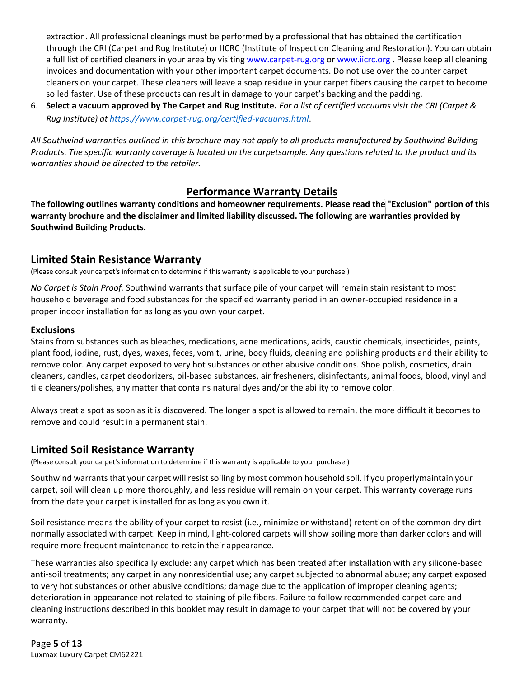extraction. All professional cleanings must be performed by a professional that has obtained the certification through the CRI (Carpet and Rug Institute) or IICRC (Institute of Inspection Cleaning and Restoration). You can obtain a full list of certified cleaners in your area by visitin[g www.carpet-rug.org](http://www.carpet-rug.org/) or [www.iicrc.org](http://www.iicrc.org/) . Please keep all cleaning invoices and documentation with your other important carpet documents. Do not use over the counter carpet cleaners on your carpet. These cleaners will leave a soap residue in your carpet fibers causing the carpet to become soiled faster. Use of these products can result in damage to your carpet's backing and the padding.

6. **Select a vacuum approved by The Carpet and Rug Institute.** *For a list of certified vacuums visit the CRI (Carpet & Rug Institute) at <https://www.carpet-rug.org/certified-vacuums.html>*.

*All Southwind warranties outlined in this brochure may not apply to all products manufactured by Southwind Building Products. The specific warranty coverage is located on the carpetsample. Any questions related to the product and its warranties should be directed to the retailer.*

## **Performance Warranty Details**

**The following outlines warranty conditions and homeowner requirements. Please read the "Exclusion" portion of this warranty brochure and the disclaimer and limited liability discussed. The following are warranties provided by Southwind Building Products.**

## <span id="page-4-0"></span>**Limited Stain Resistance Warranty**

(Please consult your carpet's information to determine if this warranty is applicable to your purchase.)

*No Carpet is Stain Proof.* Southwind warrants that surface pile of your carpet will remain stain resistant to most household beverage and food substances for the specified warranty period in an owner-occupied residence in a proper indoor installation for as long as you own your carpet.

#### **Exclusions**

Stains from substances such as bleaches, medications, acne medications, acids, caustic chemicals, insecticides, paints, plant food, iodine, rust, dyes, waxes, feces, vomit, urine, body fluids, cleaning and polishing products and their ability to remove color. Any carpet exposed to very hot substances or other abusive conditions. Shoe polish, cosmetics, drain cleaners, candles, carpet deodorizers, oil-based substances, air fresheners, disinfectants, animal foods, blood, vinyl and tile cleaners/polishes, any matter that contains natural dyes and/or the ability to remove color.

Always treat a spot as soon as it is discovered. The longer a spot is allowed to remain, the more difficult it becomes to remove and could result in a permanent stain.

## <span id="page-4-1"></span>**Limited Soil Resistance Warranty**

(Please consult your carpet's information to determine if this warranty is applicable to your purchase.)

Southwind warrants that your carpet will resist soiling by most common household soil. If you properlymaintain your carpet, soil will clean up more thoroughly, and less residue will remain on your carpet. This warranty coverage runs from the date your carpet is installed for as long as you own it.

Soil resistance means the ability of your carpet to resist (i.e., minimize or withstand) retention of the common dry dirt normally associated with carpet. Keep in mind, light-colored carpets will show soiling more than darker colors and will require more frequent maintenance to retain their appearance.

These warranties also specifically exclude: any carpet which has been treated after installation with any silicone-based anti-soil treatments; any carpet in any nonresidential use; any carpet subjected to abnormal abuse; any carpet exposed to very hot substances or other abusive conditions; damage due to the application of improper cleaning agents; deterioration in appearance not related to staining of pile fibers. Failure to follow recommended carpet care and cleaning instructions described in this booklet may result in damage to your carpet that will not be covered by your warranty.

Page **5** of **13** Luxmax Luxury Carpet CM62221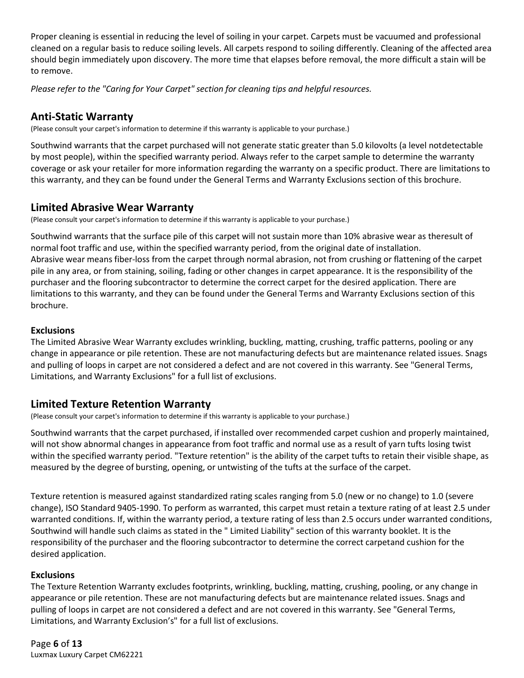Proper cleaning is essential in reducing the level of soiling in your carpet. Carpets must be vacuumed and professional cleaned on a regular basis to reduce soiling levels. All carpets respond to soiling differently. Cleaning of the affected area should begin immediately upon discovery. The more time that elapses before removal, the more difficult a stain will be to remove.

*Please refer to the "Caring for Your Carpet" section for cleaning tips and helpful resources.*

## **Anti-Static Warranty**

(Please consult your carpet's information to determine if this warranty is applicable to your purchase.)

Southwind warrants that the carpet purchased will not generate static greater than 5.0 kilovolts (a level notdetectable by most people), within the specified warranty period. Always refer to the carpet sample to determine the warranty coverage or ask your retailer for more information regarding the warranty on a specific product. There are limitations to this warranty, and they can be found under the General Terms and Warranty Exclusions section of this brochure.

## <span id="page-5-0"></span>**Limited Abrasive Wear Warranty**

(Please consult your carpet's information to determine if this warranty is applicable to your purchase.)

Southwind warrants that the surface pile of this carpet will not sustain more than 10% abrasive wear as theresult of normal foot traffic and use, within the specified warranty period, from the original date of installation. Abrasive wear means fiber-loss from the carpet through normal abrasion, not from crushing or flattening of the carpet pile in any area, or from staining, soiling, fading or other changes in carpet appearance. It is the responsibility of the purchaser and the flooring subcontractor to determine the correct carpet for the desired application. There are limitations to this warranty, and they can be found under the General Terms and Warranty Exclusions section of this brochure.

#### **Exclusions**

The Limited Abrasive Wear Warranty excludes wrinkling, buckling, matting, crushing, traffic patterns, pooling or any change in appearance or pile retention. These are not manufacturing defects but are maintenance related issues. Snags and pulling of loops in carpet are not considered a defect and are not covered in this warranty. See "General Terms, Limitations, and Warranty Exclusions" for a full list of exclusions.

## <span id="page-5-1"></span>**Limited Texture Retention Warranty**

(Please consult your carpet's information to determine if this warranty is applicable to your purchase.)

Southwind warrants that the carpet purchased, if installed over recommended carpet cushion and properly maintained, will not show abnormal changes in appearance from foot traffic and normal use as a result of yarn tufts losing twist within the specified warranty period. "Texture retention" is the ability of the carpet tufts to retain their visible shape, as measured by the degree of bursting, opening, or untwisting of the tufts at the surface of the carpet.

Texture retention is measured against standardized rating scales ranging from 5.0 (new or no change) to 1.0 (severe change), ISO Standard 9405-1990. To perform as warranted, this carpet must retain a texture rating of at least 2.5 under warranted conditions. If, within the warranty period, a texture rating of less than 2.5 occurs under warranted conditions, Southwind will handle such claims as stated in the " Limited Liability" section of this warranty booklet. It is the responsibility of the purchaser and the flooring subcontractor to determine the correct carpetand cushion for the desired application.

#### **Exclusions**

The Texture Retention Warranty excludes footprints, wrinkling, buckling, matting, crushing, pooling, or any change in appearance or pile retention. These are not manufacturing defects but are maintenance related issues. Snags and pulling of loops in carpet are not considered a defect and are not covered in this warranty. See "General Terms, Limitations, and Warranty Exclusion's" for a full list of exclusions.

Page **6** of **13** Luxmax Luxury Carpet CM62221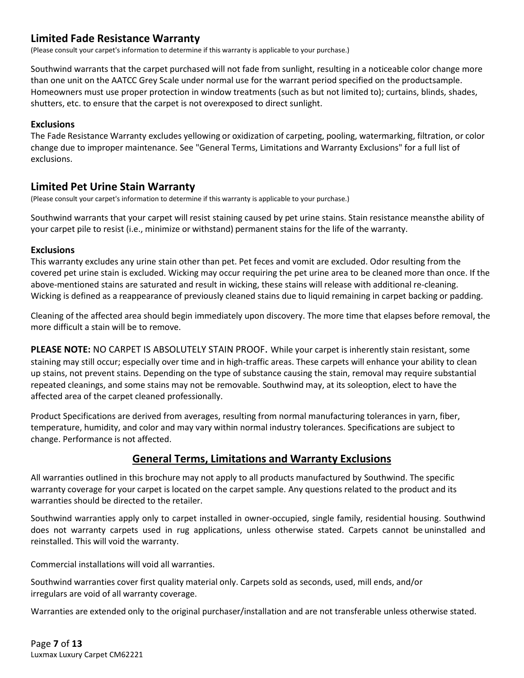## <span id="page-6-0"></span>**Limited Fade Resistance Warranty**

(Please consult your carpet's information to determine if this warranty is applicable to your purchase.)

Southwind warrants that the carpet purchased will not fade from sunlight, resulting in a noticeable color change more than one unit on the AATCC Grey Scale under normal use for the warrant period specified on the productsample. Homeowners must use proper protection in window treatments (such as but not limited to); curtains, blinds, shades, shutters, etc. to ensure that the carpet is not overexposed to direct sunlight.

#### **Exclusions**

The Fade Resistance Warranty excludes yellowing or oxidization of carpeting, pooling, watermarking, filtration, or color change due to improper maintenance. See "General Terms, Limitations and Warranty Exclusions" for a full list of exclusions.

## <span id="page-6-1"></span>**Limited Pet Urine Stain Warranty**

(Please consult your carpet's information to determine if this warranty is applicable to your purchase.)

Southwind warrants that your carpet will resist staining caused by pet urine stains. Stain resistance meansthe ability of your carpet pile to resist (i.e., minimize or withstand) permanent stains for the life of the warranty.

#### **Exclusions**

This warranty excludes any urine stain other than pet. Pet feces and vomit are excluded. Odor resulting from the covered pet urine stain is excluded. Wicking may occur requiring the pet urine area to be cleaned more than once. If the above-mentioned stains are saturated and result in wicking, these stains will release with additional re-cleaning. Wicking is defined as a reappearance of previously cleaned stains due to liquid remaining in carpet backing or padding.

Cleaning of the affected area should begin immediately upon discovery. The more time that elapses before removal, the more difficult a stain will be to remove.

**PLEASE NOTE:** NO CARPET IS ABSOLUTELY STAIN PROOF. While your carpet is inherently stain resistant, some staining may still occur; especially over time and in high-traffic areas. These carpets will enhance your ability to clean up stains, not prevent stains. Depending on the type of substance causing the stain, removal may require substantial repeated cleanings, and some stains may not be removable. Southwind may, at its soleoption, elect to have the affected area of the carpet cleaned professionally.

Product Specifications are derived from averages, resulting from normal manufacturing tolerances in yarn, fiber, temperature, humidity, and color and may vary within normal industry tolerances. Specifications are subject to change. Performance is not affected.

## **General Terms, Limitations and Warranty Exclusions**

<span id="page-6-2"></span>All warranties outlined in this brochure may not apply to all products manufactured by Southwind. The specific warranty coverage for your carpet is located on the carpet sample. Any questions related to the product and its warranties should be directed to the retailer.

Southwind warranties apply only to carpet installed in owner-occupied, single family, residential housing. Southwind does not warranty carpets used in rug applications, unless otherwise stated. Carpets cannot be uninstalled and reinstalled. This will void the warranty.

Commercial installations will void all warranties.

Southwind warranties cover first quality material only. Carpets sold as seconds, used, mill ends, and/or irregulars are void of all warranty coverage.

Warranties are extended only to the original purchaser/installation and are not transferable unless otherwise stated.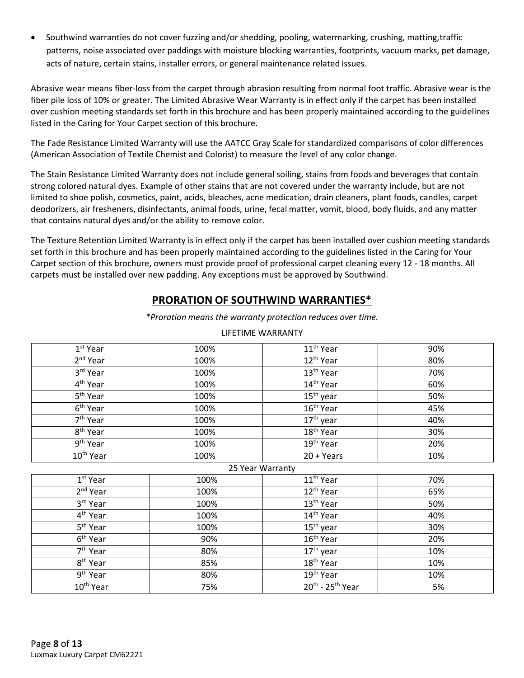• Southwind warranties do not cover fuzzing and/or shedding, pooling, watermarking, crushing, matting,traffic patterns, noise associated over paddings with moisture blocking warranties, footprints, vacuum marks, pet damage, acts of nature, certain stains, installer errors, or general maintenance related issues.

Abrasive wear means fiber-loss from the carpet through abrasion resulting from normal foot traffic. Abrasive wear is the fiber pile loss of 10% or greater. The Limited Abrasive Wear Warranty is in effect only if the carpet has been installed over cushion meeting standards set forth in this brochure and has been properly maintained according to the guidelines listed in the Caring for Your Carpet section of this brochure.

The Fade Resistance Limited Warranty will use the AATCC Gray Scale for standardized comparisons of color differences (American Association of Textile Chemist and Colorist) to measure the level of any color change.

The Stain Resistance Limited Warranty does not include general soiling, stains from foods and beverages that contain strong colored natural dyes. Example of other stains that are not covered under the warranty include, but are not limited to shoe polish, cosmetics, paint, acids, bleaches, acne medication, drain cleaners, plant foods, candles, carpet deodorizers, air fresheners, disinfectants, animal foods, urine, fecal matter, vomit, blood, body fluids, and any matter that contains natural dyes and/or the ability to remove color.

The Texture Retention Limited Warranty is in effect only if the carpet has been installed over cushion meeting standards set forth in this brochure and has been properly maintained according to the guidelines listed in the Caring for Your Carpet section of this brochure, owners must provide proof of professional carpet cleaning every 12 - 18 months. All carpets must be installed over new padding. Any exceptions must be approved by Southwind.

## **PRORATION OF SOUTHWIND WARRANTIES\***

*\*Proration means the warranty protection reduces over time.*

| $1st$ Year            | 100% | 11 <sup>th</sup> Year              | 90% |  |  |
|-----------------------|------|------------------------------------|-----|--|--|
| 2 <sup>nd</sup> Year  | 100% | 12 <sup>th</sup> Year              | 80% |  |  |
| 3rd Year              | 100% | 13 <sup>th</sup> Year              | 70% |  |  |
| 4 <sup>th</sup> Year  | 100% | 14 <sup>th</sup> Year              | 60% |  |  |
| $5th$ Year            | 100% | $\overline{15}$ <sup>th</sup> year | 50% |  |  |
| 6 <sup>th</sup> Year  | 100% | 16 <sup>th</sup> Year              | 45% |  |  |
| 7 <sup>th</sup> Year  | 100% | $17th$ year                        | 40% |  |  |
| 8 <sup>th</sup> Year  | 100% | $18th$ Year                        | 30% |  |  |
| $9th$ Year            | 100% | 19 <sup>th</sup> Year              | 20% |  |  |
| 10 <sup>th</sup> Year | 100% | $20 + Years$                       | 10% |  |  |
| 25 Year Warranty      |      |                                    |     |  |  |
| $1st$ Year            | 100% | 11 <sup>th</sup> Year              | 70% |  |  |
| 2 <sup>nd</sup> Year  | 100% | 12 <sup>th</sup> Year              | 65% |  |  |
| 3rd Year              | 100% | 13 <sup>th</sup> Year              | 50% |  |  |
| $4th$ Year            | 100% | 14 <sup>th</sup> Year              | 40% |  |  |
| 5 <sup>th</sup> Year  | 100% | $15th$ year                        | 30% |  |  |
| 6 <sup>th</sup> Year  | 90%  | 16 <sup>th</sup> Year              | 20% |  |  |
| 7 <sup>th</sup> Year  | 80%  | $17th$ year                        | 10% |  |  |
| 8 <sup>th</sup> Year  | 85%  | 18 <sup>th</sup> Year              | 10% |  |  |
| 9 <sup>th</sup> Year  | 80%  | 19 <sup>th</sup> Year              | 10% |  |  |
| 10 <sup>th</sup> Year | 75%  | $20^{th}$ - 25 <sup>th</sup> Year  | 5%  |  |  |

#### LIFETIME WARRANTY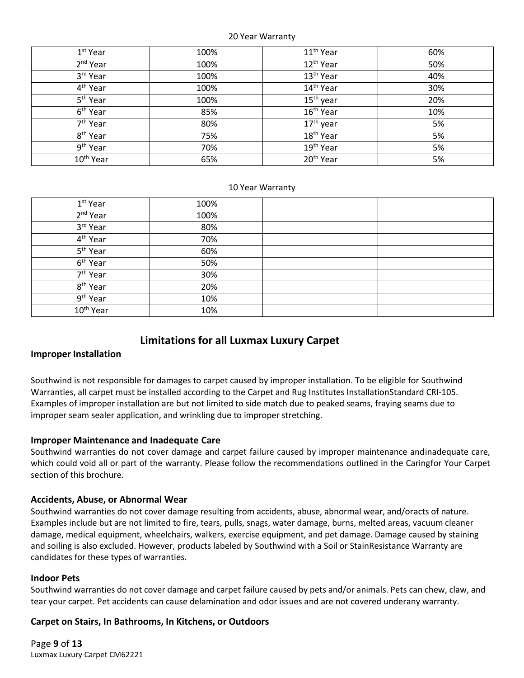#### 20 Year Warranty

| $1^{\rm st}$ Year     | 100% | 11 <sup>th</sup> Year | 60% |
|-----------------------|------|-----------------------|-----|
| 2 <sup>nd</sup> Year  | 100% | 12 <sup>th</sup> Year | 50% |
| 3rd Year              | 100% | 13 <sup>th</sup> Year | 40% |
| 4 <sup>th</sup> Year  | 100% | 14 <sup>th</sup> Year | 30% |
| 5 <sup>th</sup> Year  | 100% | $15th$ year           | 20% |
| 6 <sup>th</sup> Year  | 85%  | 16 <sup>th</sup> Year | 10% |
| 7 <sup>th</sup> Year  | 80%  | 17 <sup>th</sup> year | 5%  |
| 8 <sup>th</sup> Year  | 75%  | 18 <sup>th</sup> Year | 5%  |
| 9 <sup>th</sup> Year  | 70%  | 19 <sup>th</sup> Year | 5%  |
| 10 <sup>th</sup> Year | 65%  | 20 <sup>th</sup> Year | 5%  |

#### 10 Year Warranty

| $1st$ Year            | 100% |  |
|-----------------------|------|--|
| 2 <sup>nd</sup> Year  | 100% |  |
| 3rd Year              | 80%  |  |
| 4 <sup>th</sup> Year  | 70%  |  |
| 5 <sup>th</sup> Year  | 60%  |  |
| 6 <sup>th</sup> Year  | 50%  |  |
| 7 <sup>th</sup> Year  | 30%  |  |
| 8 <sup>th</sup> Year  | 20%  |  |
| 9 <sup>th</sup> Year  | 10%  |  |
| 10 <sup>th</sup> Year | 10%  |  |

## **Limitations for all Luxmax Luxury Carpet**

#### **Improper Installation**

<span id="page-8-0"></span>Southwind is not responsible for damages to carpet caused by improper installation. To be eligible for Southwind Warranties, all carpet must be installed according to the Carpet and Rug Institutes InstallationStandard CRI-105. Examples of improper installation are but not limited to side match due to peaked seams, fraying seams due to improper seam sealer application, and wrinkling due to improper stretching.

#### **Improper Maintenance and Inadequate Care**

Southwind warranties do not cover damage and carpet failure caused by improper maintenance andinadequate care, which could void all or part of the warranty. Please follow the recommendations outlined in the Caringfor Your Carpet section of this brochure.

#### **Accidents, Abuse, or Abnormal Wear**

Southwind warranties do not cover damage resulting from accidents, abuse, abnormal wear, and/oracts of nature. Examples include but are not limited to fire, tears, pulls, snags, water damage, burns, melted areas, vacuum cleaner damage, medical equipment, wheelchairs, walkers, exercise equipment, and pet damage. Damage caused by staining and soiling is also excluded. However, products labeled by Southwind with a Soil or StainResistance Warranty are candidates for these types of warranties.

#### **Indoor Pets**

Southwind warranties do not cover damage and carpet failure caused by pets and/or animals. Pets can chew, claw, and tear your carpet. Pet accidents can cause delamination and odor issues and are not covered underany warranty.

#### **Carpet on Stairs, In Bathrooms, In Kitchens, or Outdoors**

Page **9** of **13** Luxmax Luxury Carpet CM62221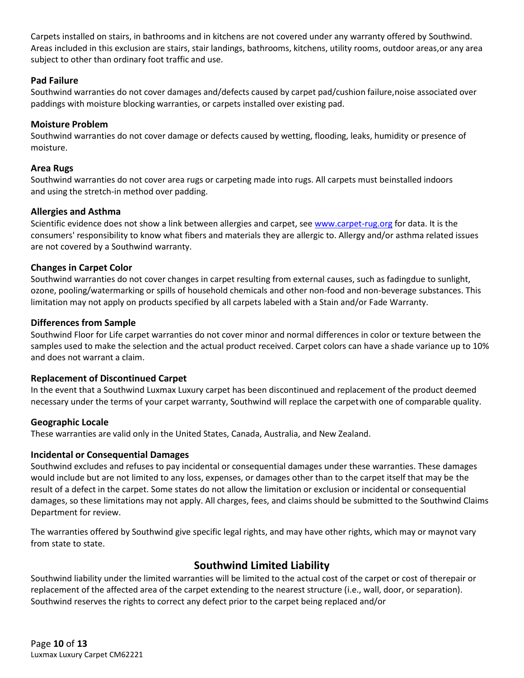Carpets installed on stairs, in bathrooms and in kitchens are not covered under any warranty offered by Southwind. Areas included in this exclusion are stairs, stair landings, bathrooms, kitchens, utility rooms, outdoor areas,or any area subject to other than ordinary foot traffic and use.

#### **Pad Failure**

Southwind warranties do not cover damages and/defects caused by carpet pad/cushion failure,noise associated over paddings with moisture blocking warranties, or carpets installed over existing pad.

#### **Moisture Problem**

Southwind warranties do not cover damage or defects caused by wetting, flooding, leaks, humidity or presence of moisture.

#### **Area Rugs**

Southwind warranties do not cover area rugs or carpeting made into rugs. All carpets must beinstalled indoors and using the stretch-in method over padding.

#### **Allergies and Asthma**

Scientific evidence does not show a link between allergies and carpet, see [www.carpet-rug.org](http://www.carpet-rug.org/) for data. It is the consumers' responsibility to know what fibers and materials they are allergic to. Allergy and/or asthma related issues are not covered by a Southwind warranty.

#### **Changes in Carpet Color**

Southwind warranties do not cover changes in carpet resulting from external causes, such as fadingdue to sunlight, ozone, pooling/watermarking or spills of household chemicals and other non-food and non-beverage substances. This limitation may not apply on products specified by all carpets labeled with a Stain and/or Fade Warranty.

#### **Differences from Sample**

Southwind Floor for Life carpet warranties do not cover minor and normal differences in color or texture between the samples used to make the selection and the actual product received. Carpet colors can have a shade variance up to 10% and does not warrant a claim.

#### **Replacement of Discontinued Carpet**

In the event that a Southwind Luxmax Luxury carpet has been discontinued and replacement of the product deemed necessary under the terms of your carpet warranty, Southwind will replace the carpet with one of comparable quality.

#### **Geographic Locale**

These warranties are valid only in the United States, Canada, Australia, and New Zealand.

#### **Incidental or Consequential Damages**

Southwind excludes and refuses to pay incidental or consequential damages under these warranties. These damages would include but are not limited to any loss, expenses, or damages other than to the carpet itself that may be the result of a defect in the carpet. Some states do not allow the limitation or exclusion or incidental or consequential damages, so these limitations may not apply. All charges, fees, and claims should be submitted to the Southwind Claims Department for review.

The warranties offered by Southwind give specific legal rights, and may have other rights, which may or maynot vary from state to state.

## **Southwind Limited Liability**

<span id="page-9-0"></span>Southwind liability under the limited warranties will be limited to the actual cost of the carpet or cost of therepair or replacement of the affected area of the carpet extending to the nearest structure (i.e., wall, door, or separation). Southwind reserves the rights to correct any defect prior to the carpet being replaced and/or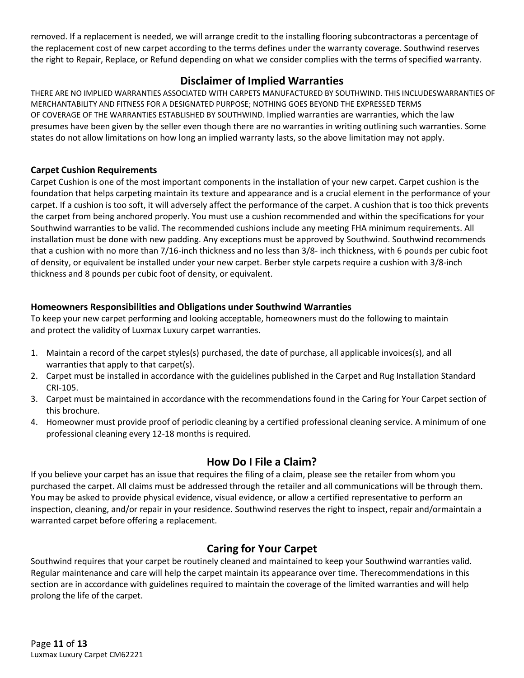removed. If a replacement is needed, we will arrange credit to the installing flooring subcontractoras a percentage of the replacement cost of new carpet according to the terms defines under the warranty coverage. Southwind reserves the right to Repair, Replace, or Refund depending on what we consider complies with the terms of specified warranty.

## **Disclaimer of Implied Warranties**

<span id="page-10-0"></span>THERE ARE NO IMPLIED WARRANTIES ASSOCIATED WITH CARPETS MANUFACTURED BY SOUTHWIND. THIS INCLUDESWARRANTIES OF MERCHANTABILITY AND FITNESS FOR A DESIGNATED PURPOSE; NOTHING GOES BEYOND THE EXPRESSED TERMS OF COVERAGE OF THE WARRANTIES ESTABLISHED BY SOUTHWIND. Implied warranties are warranties, which the law presumes have been given by the seller even though there are no warranties in writing outlining such warranties. Some states do not allow limitations on how long an implied warranty lasts, so the above limitation may not apply.

#### <span id="page-10-1"></span>**Carpet Cushion Requirements**

Carpet Cushion is one of the most important components in the installation of your new carpet. Carpet cushion is the foundation that helps carpeting maintain its texture and appearance and is a crucial element in the performance of your carpet. If a cushion is too soft, it will adversely affect the performance of the carpet. A cushion that is too thick prevents the carpet from being anchored properly. You must use a cushion recommended and within the specifications for your Southwind warranties to be valid. The recommended cushions include any meeting FHA minimum requirements. All installation must be done with new padding. Any exceptions must be approved by Southwind. Southwind recommends that a cushion with no more than 7/16-inch thickness and no less than 3/8- inch thickness, with 6 pounds per cubic foot of density, or equivalent be installed under your new carpet. Berber style carpets require a cushion with 3/8-inch thickness and 8 pounds per cubic foot of density, or equivalent.

#### **Homeowners Responsibilities and Obligations under Southwind Warranties**

To keep your new carpet performing and looking acceptable, homeowners must do the following to maintain and protect the validity of Luxmax Luxury carpet warranties.

- 1. Maintain a record of the carpet styles(s) purchased, the date of purchase, all applicable invoices(s), and all warranties that apply to that carpet(s).
- 2. Carpet must be installed in accordance with the guidelines published in the Carpet and Rug Installation Standard CRI-105.
- 3. Carpet must be maintained in accordance with the recommendations found in the Caring for Your Carpet section of this brochure.
- 4. Homeowner must provide proof of periodic cleaning by a certified professional cleaning service. A minimum of one professional cleaning every 12-18 months is required.

## **How Do I File a Claim?**

<span id="page-10-2"></span>If you believe your carpet has an issue that requires the filing of a claim, please see the retailer from whom you purchased the carpet. All claims must be addressed through the retailer and all communications will be through them. You may be asked to provide physical evidence, visual evidence, or allow a certified representative to perform an inspection, cleaning, and/or repair in your residence. Southwind reserves the right to inspect, repair and/ormaintain a warranted carpet before offering a replacement.

## **Caring for Your Carpet**

<span id="page-10-3"></span>Southwind requires that your carpet be routinely cleaned and maintained to keep your Southwind warranties valid. Regular maintenance and care will help the carpet maintain its appearance over time. Therecommendations in this section are in accordance with guidelines required to maintain the coverage of the limited warranties and will help prolong the life of the carpet.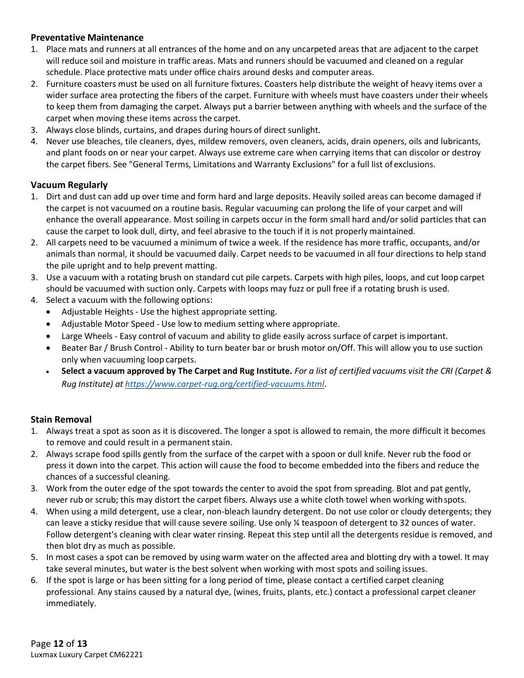## **Preventative Maintenance**

- 1. Place mats and runners at all entrances of the home and on any uncarpeted areas that are adjacent to the carpet will reduce soil and moisture in traffic areas. Mats and runners should be vacuumed and cleaned on a regular schedule. Place protective mats under office chairs around desks and computer areas.
- 2. Furniture coasters must be used on all furniture fixtures. Coasters help distribute the weight of heavy items over a wider surface area protecting the fibers of the carpet. Furniture with wheels must have coasters under their wheels to keep them from damaging the carpet. Always put a barrier between anything with wheels and the surface of the carpet when moving these items across the carpet.
- 3. Always close blinds, curtains, and drapes during hours of direct sunlight.
- 4. Never use bleaches, tile cleaners, dyes, mildew removers, oven cleaners, acids, drain openers, oils and lubricants, and plant foods on or near your carpet. Always use extreme care when carrying items that can discolor or destroy the carpet fibers. See "General Terms, Limitations and Warranty Exclusions" for a full list of exclusions.

#### **Vacuum Regularly**

- 1. Dirt and dust can add up over time and form hard and large deposits. Heavily soiled areas can become damaged if the carpet is not vacuumed on a routine basis. Regular vacuuming can prolong the life of your carpet and will enhance the overall appearance. Most soiling in carpets occur in the form small hard and/or solid particles that can cause the carpet to look dull, dirty, and feel abrasive to the touch if it is not properly maintained.
- 2. All carpets need to be vacuumed a minimum of twice a week. If the residence has more traffic, occupants, and/or animals than normal, it should be vacuumed daily. Carpet needs to be vacuumed in all four directions to help stand the pile upright and to help prevent matting.
- 3. Use a vacuum with a rotating brush on standard cut pile carpets. Carpets with high piles, loops, and cut loop carpet should be vacuumed with suction only. Carpets with loops may fuzz or pull free if a rotating brush is used.
- 4. Select a vacuum with the following options:
	- Adjustable Heights Use the highest appropriate setting.
	- Adjustable Motor Speed Use low to medium setting where appropriate.
	- Large Wheels Easy control of vacuum and ability to glide easily across surface of carpet is important.
	- Beater Bar / Brush Control Ability to turn beater bar or brush motor on/Off. This will allow you to use suction only when vacuuming loop carpets.
	- **Select a vacuum approved by The Carpet and Rug Institute.** *For a list of certified vacuums visit the CRI (Carpet & Rug Institute) at <https://www.carpet-rug.org/certified-vacuums.html>*.

## **Stain Removal**

- 1. Always treat a spot as soon as it is discovered. The longer a spot is allowed to remain, the more difficult it becomes to remove and could result in a permanent stain.
- 2. Always scrape food spills gently from the surface of the carpet with a spoon or dull knife. Never rub the food or press it down into the carpet. This action will cause the food to become embedded into the fibers and reduce the chances of a successful cleaning.
- 3. Work from the outer edge of the spot towards the center to avoid the spot from spreading. Blot and pat gently, never rub or scrub; this may distort the carpet fibers. Always use a white cloth towel when working withspots.
- 4. When using a mild detergent, use a clear, non-bleach laundry detergent. Do not use color or cloudy detergents; they can leave a sticky residue that will cause severe soiling. Use only ¼ teaspoon of detergent to 32 ounces of water. Follow detergent's cleaning with clear water rinsing. Repeat this step until all the detergents residue is removed, and then blot dry as much as possible.
- 5. In most cases a spot can be removed by using warm water on the affected area and blotting dry with a towel. It may take several minutes, but water is the best solvent when working with most spots and soiling issues.
- 6. If the spot is large or has been sitting for a long period of time, please contact a certified carpet cleaning professional. Any stains caused by a natural dye, (wines, fruits, plants, etc.) contact a professional carpet cleaner immediately.